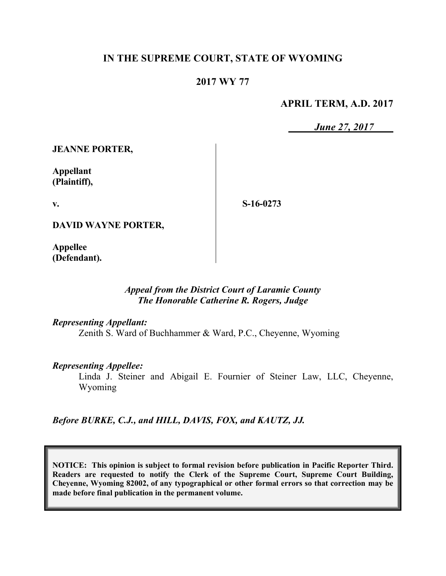# **IN THE SUPREME COURT, STATE OF WYOMING**

# **2017 WY 77**

### **APRIL TERM, A.D. 2017**

*June 27, 2017*

**JEANNE PORTER,**

**Appellant (Plaintiff),**

**v.**

**S-16-0273**

**DAVID WAYNE PORTER,**

**Appellee (Defendant).**

#### *Appeal from the District Court of Laramie County The Honorable Catherine R. Rogers, Judge*

*Representing Appellant:*

Zenith S. Ward of Buchhammer & Ward, P.C., Cheyenne, Wyoming

#### *Representing Appellee:*

Linda J. Steiner and Abigail E. Fournier of Steiner Law, LLC, Cheyenne, Wyoming

*Before BURKE, C.J., and HILL, DAVIS, FOX, and KAUTZ, JJ.*

**NOTICE: This opinion is subject to formal revision before publication in Pacific Reporter Third. Readers are requested to notify the Clerk of the Supreme Court, Supreme Court Building, Cheyenne, Wyoming 82002, of any typographical or other formal errors so that correction may be made before final publication in the permanent volume.**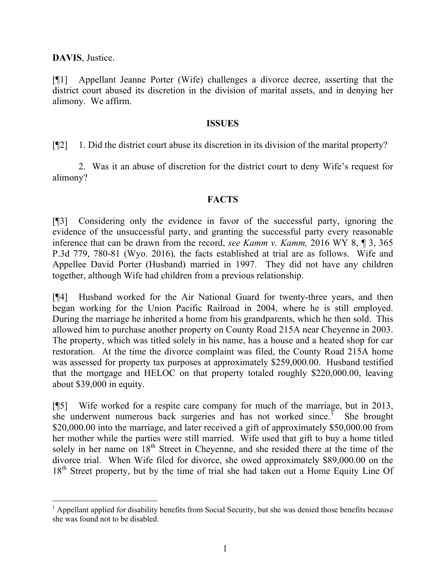**DAVIS**, Justice.

[¶1] Appellant Jeanne Porter (Wife) challenges a divorce decree, asserting that the district court abused its discretion in the division of marital assets, and in denying her alimony. We affirm.

### **ISSUES**

[¶2] 1. Did the district court abuse its discretion in its division of the marital property?

2. Was it an abuse of discretion for the district court to deny Wife's request for alimony?

# **FACTS**

[¶3] Considering only the evidence in favor of the successful party, ignoring the evidence of the unsuccessful party, and granting the successful party every reasonable inference that can be drawn from the record, *see Kamm v. Kamm,* 2016 WY 8, ¶ 3, 365 P.3d 779, 780-81 (Wyo. 2016)*,* the facts established at trial are as follows. Wife and Appellee David Porter (Husband) married in 1997. They did not have any children together, although Wife had children from a previous relationship.

[¶4] Husband worked for the Air National Guard for twenty-three years, and then began working for the Union Pacific Railroad in 2004, where he is still employed. During the marriage he inherited a home from his grandparents, which he then sold. This allowed him to purchase another property on County Road 215A near Cheyenne in 2003. The property, which was titled solely in his name, has a house and a heated shop for car restoration. At the time the divorce complaint was filed, the County Road 215A home was assessed for property tax purposes at approximately \$259,000.00. Husband testified that the mortgage and HELOC on that property totaled roughly \$220,000.00, leaving about \$39,000 in equity.

[¶5] Wife worked for a respite care company for much of the marriage, but in 2013, she underwent numerous back surgeries and has not worked since.<sup>1</sup> She brought \$20,000.00 into the marriage, and later received a gift of approximately \$50,000.00 from her mother while the parties were still married. Wife used that gift to buy a home titled solely in her name on 18<sup>th</sup> Street in Cheyenne, and she resided there at the time of the divorce trial. When Wife filed for divorce, she owed approximately \$89,000.00 on the 18<sup>th</sup> Street property, but by the time of trial she had taken out a Home Equity Line Of

 $<sup>1</sup>$  Appellant applied for disability benefits from Social Security, but she was denied those benefits because</sup> she was found not to be disabled.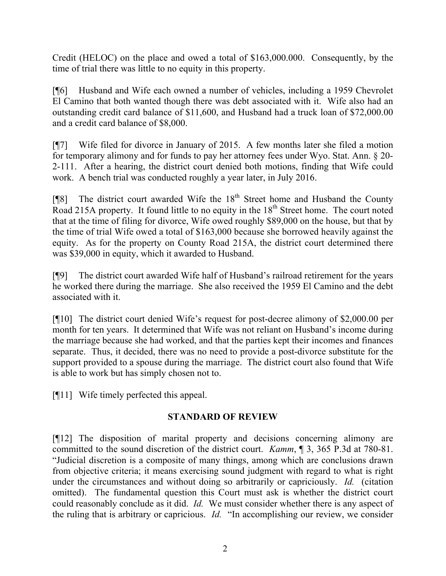Credit (HELOC) on the place and owed a total of \$163,000.000. Consequently, by the time of trial there was little to no equity in this property.

[¶6] Husband and Wife each owned a number of vehicles, including a 1959 Chevrolet El Camino that both wanted though there was debt associated with it. Wife also had an outstanding credit card balance of \$11,600, and Husband had a truck loan of \$72,000.00 and a credit card balance of \$8,000.

[¶7] Wife filed for divorce in January of 2015. A few months later she filed a motion for temporary alimony and for funds to pay her attorney fees under Wyo. Stat. Ann. § 20- 2-111. After a hearing, the district court denied both motions, finding that Wife could work. A bench trial was conducted roughly a year later, in July 2016.

[ $[$ [8] The district court awarded Wife the 18<sup>th</sup> Street home and Husband the County Road 215A property. It found little to no equity in the  $18<sup>th</sup>$  Street home. The court noted that at the time of filing for divorce, Wife owed roughly \$89,000 on the house, but that by the time of trial Wife owed a total of \$163,000 because she borrowed heavily against the equity. As for the property on County Road 215A, the district court determined there was \$39,000 in equity, which it awarded to Husband.

[¶9] The district court awarded Wife half of Husband's railroad retirement for the years he worked there during the marriage. She also received the 1959 El Camino and the debt associated with it.

[¶10] The district court denied Wife's request for post-decree alimony of \$2,000.00 per month for ten years. It determined that Wife was not reliant on Husband's income during the marriage because she had worked, and that the parties kept their incomes and finances separate. Thus, it decided, there was no need to provide a post-divorce substitute for the support provided to a spouse during the marriage. The district court also found that Wife is able to work but has simply chosen not to.

[¶11] Wife timely perfected this appeal.

# **STANDARD OF REVIEW**

[¶12] The disposition of marital property and decisions concerning alimony are committed to the sound discretion of the district court. *Kamm*, ¶ 3, 365 P.3d at 780-81. "Judicial discretion is a composite of many things, among which are conclusions drawn from objective criteria; it means exercising sound judgment with regard to what is right under the circumstances and without doing so arbitrarily or capriciously. *Id.* (citation omitted). The fundamental question this Court must ask is whether the district court could reasonably conclude as it did. *Id.* We must consider whether there is any aspect of the ruling that is arbitrary or capricious. *Id.* "In accomplishing our review, we consider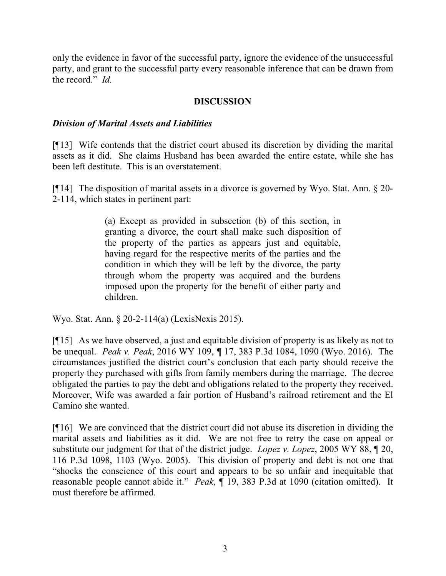only the evidence in favor of the successful party, ignore the evidence of the unsuccessful party, and grant to the successful party every reasonable inference that can be drawn from the record." *Id.*

### **DISCUSSION**

### *Division of Marital Assets and Liabilities*

[¶13] Wife contends that the district court abused its discretion by dividing the marital assets as it did. She claims Husband has been awarded the entire estate, while she has been left destitute. This is an overstatement.

[¶14] The disposition of marital assets in a divorce is governed by Wyo. Stat. Ann. § 20- 2-114, which states in pertinent part:

> (a) Except as provided in subsection (b) of this section, in granting a divorce, the court shall make such disposition of the property of the parties as appears just and equitable, having regard for the respective merits of the parties and the condition in which they will be left by the divorce, the party through whom the property was acquired and the burdens imposed upon the property for the benefit of either party and children.

Wyo. Stat. Ann. § 20-2-114(a) (LexisNexis 2015).

[¶15] As we have observed, a just and equitable division of property is as likely as not to be unequal. *Peak v. Peak*, 2016 WY 109, ¶ 17, 383 P.3d 1084, 1090 (Wyo. 2016). The circumstances justified the district court's conclusion that each party should receive the property they purchased with gifts from family members during the marriage. The decree obligated the parties to pay the debt and obligations related to the property they received. Moreover, Wife was awarded a fair portion of Husband's railroad retirement and the El Camino she wanted.

[¶16] We are convinced that the district court did not abuse its discretion in dividing the marital assets and liabilities as it did. We are not free to retry the case on appeal or substitute our judgment for that of the district judge. *Lopez v. Lopez*, 2005 WY 88, ¶ 20, 116 P.3d 1098, 1103 (Wyo. 2005). This division of property and debt is not one that "shocks the conscience of this court and appears to be so unfair and inequitable that reasonable people cannot abide it." *Peak*, ¶ 19, 383 P.3d at 1090 (citation omitted). It must therefore be affirmed.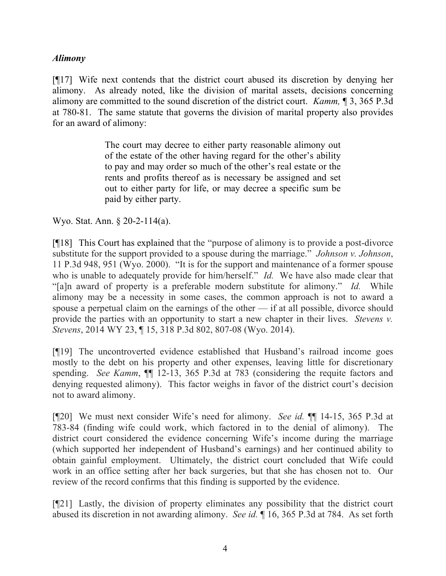### *Alimony*

[¶17] Wife next contends that the district court abused its discretion by denying her alimony. As already noted, like the division of marital assets, decisions concerning alimony are committed to the sound discretion of the district court. *Kamm,* ¶ 3, 365 P.3d at 780-81. The same statute that governs the division of marital property also provides for an award of alimony:

> The court may decree to either party reasonable alimony out of the estate of the other having regard for the other's ability to pay and may order so much of the other's real estate or the rents and profits thereof as is necessary be assigned and set out to either party for life, or may decree a specific sum be paid by either party.

Wyo. Stat. Ann. § 20-2-114(a).

[¶18] This Court has explained that the "purpose of alimony is to provide a post-divorce substitute for the support provided to a spouse during the marriage." *Johnson v. Johnson*, 11 P.3d 948, 951 (Wyo. 2000). "It is for the support and maintenance of a former spouse who is unable to adequately provide for him/herself." *Id.* We have also made clear that "[a]n award of property is a preferable modern substitute for alimony." *Id.* While alimony may be a necessity in some cases, the common approach is not to award a spouse a perpetual claim on the earnings of the other — if at all possible, divorce should provide the parties with an opportunity to start a new chapter in their lives. *Stevens v. Stevens*, 2014 WY 23, ¶ 15, 318 P.3d 802, 807-08 (Wyo. 2014).

[¶19] The uncontroverted evidence established that Husband's railroad income goes mostly to the debt on his property and other expenses, leaving little for discretionary spending. *See Kamm*, ¶¶ 12-13, 365 P.3d at 783 (considering the requite factors and denying requested alimony). This factor weighs in favor of the district court's decision not to award alimony.

[¶20] We must next consider Wife's need for alimony. *See id.* ¶¶ 14-15, 365 P.3d at 783-84 (finding wife could work, which factored in to the denial of alimony). The district court considered the evidence concerning Wife's income during the marriage (which supported her independent of Husband's earnings) and her continued ability to obtain gainful employment. Ultimately, the district court concluded that Wife could work in an office setting after her back surgeries, but that she has chosen not to. Our review of the record confirms that this finding is supported by the evidence.

[¶21] Lastly, the division of property eliminates any possibility that the district court abused its discretion in not awarding alimony. *See id.* ¶ 16, 365 P.3d at 784. As set forth